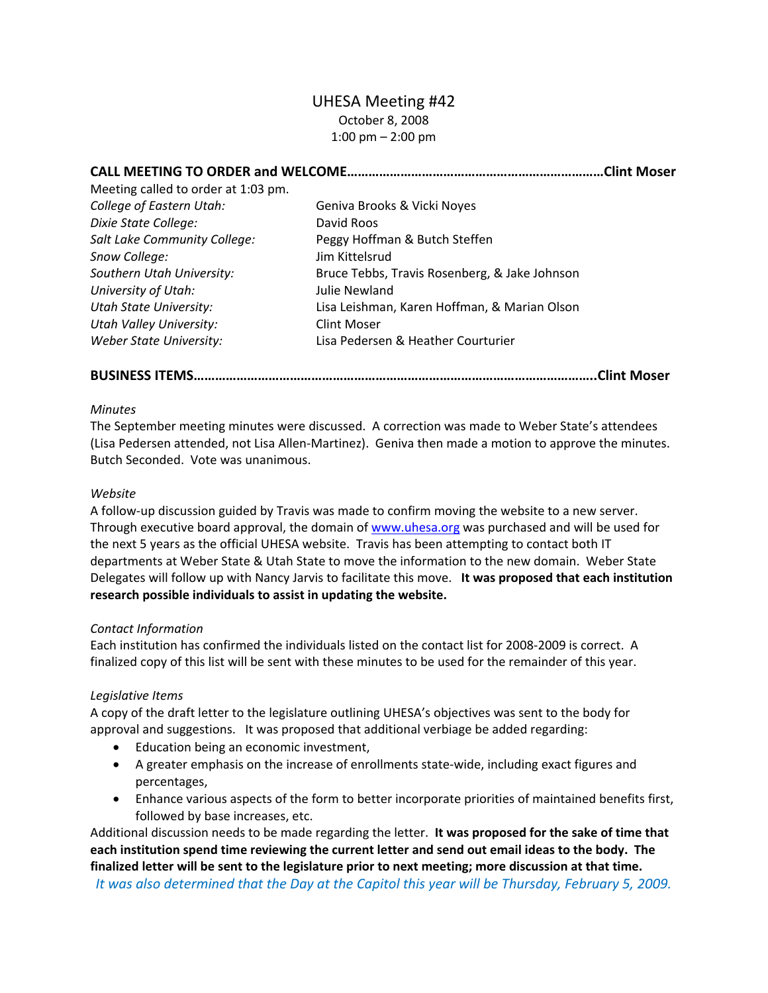# UHESA Meeting #42 October 8, 2008 1:00 pm – 2:00 pm

| .Clint Moser                                  |
|-----------------------------------------------|
|                                               |
| Geniva Brooks & Vicki Noyes                   |
| David Roos                                    |
| Peggy Hoffman & Butch Steffen                 |
| Jim Kittelsrud                                |
| Bruce Tebbs, Travis Rosenberg, & Jake Johnson |
| Julie Newland                                 |
| Lisa Leishman, Karen Hoffman, & Marian Olson  |
| <b>Clint Moser</b>                            |
| Lisa Pedersen & Heather Courturier            |
|                                               |

**BUSINESS ITEMS…………………………………………………………………………………………………..Clint Moser**

### *Minutes*

The September meeting minutes were discussed. A correction was made to Weber State's attendees (Lisa Pedersen attended, not Lisa Allen‐Martinez). Geniva then made a motion to approve the minutes. Butch Seconded. Vote was unanimous.

### *Website*

A follow‐up discussion guided by Travis was made to confirm moving the website to a new server. Through executive board approval, the domain of [www.uhesa.org](http://www.uhesa.org/) was purchased and will be used for the next 5 years as the official UHESA website. Travis has been attempting to contact both IT departments at Weber State & Utah State to move the information to the new domain. Weber State Delegates will follow up with Nancy Jarvis to facilitate this move. **It was proposed that each institution research possible individuals to assist in updating the website.**

### *Contact Information*

Each institution has confirmed the individuals listed on the contact list for 2008‐2009 is correct. A finalized copy of this list will be sent with these minutes to be used for the remainder of this year.

### *Legislative Items*

A copy of the draft letter to the legislature outlining UHESA's objectives was sent to the body for approval and suggestions. It was proposed that additional verbiage be added regarding:

- Education being an economic investment,
- A greater emphasis on the increase of enrollments state-wide, including exact figures and percentages,
- Enhance various aspects of the form to better incorporate priorities of maintained benefits first, followed by base increases, etc.

Additional discussion needs to be made regarding the letter. **It was proposed for the sake of time that** each institution spend time reviewing the current letter and send out email ideas to the body. The **finalized letter will be sent to the legislature prior to next meeting; more discussion at that time.** *It was also determined that the Day at the Capitol this year will be Thursday, February 5, 2009.*